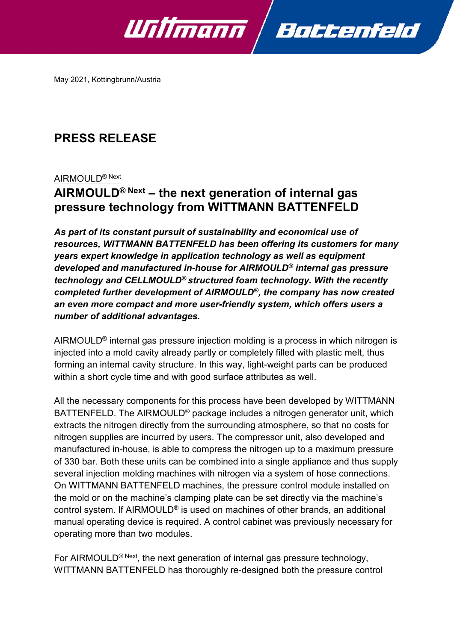

May 2021, Kottingbrunn/Austria

# **PRESS RELEASE**

#### AIRMOULD® Next

## **AIRMOULD® Next – the next generation of internal gas pressure technology from WITTMANN BATTENFELD**

*As part of its constant pursuit of sustainability and economical use of resources, WITTMANN BATTENFELD has been offering its customers for many years expert knowledge in application technology as well as equipment developed and manufactured in-house for AIRMOULD® internal gas pressure technology and CELLMOULD® structured foam technology. With the recently completed further development of AIRMOULD®, the company has now created an even more compact and more user-friendly system, which offers users a number of additional advantages.*

AIRMOULD® internal gas pressure injection molding is a process in which nitrogen is injected into a mold cavity already partly or completely filled with plastic melt, thus forming an internal cavity structure. In this way, light-weight parts can be produced within a short cycle time and with good surface attributes as well.

All the necessary components for this process have been developed by WITTMANN BATTENFELD. The AIRMOULD® package includes a nitrogen generator unit, which extracts the nitrogen directly from the surrounding atmosphere, so that no costs for nitrogen supplies are incurred by users. The compressor unit, also developed and manufactured in-house, is able to compress the nitrogen up to a maximum pressure of 330 bar. Both these units can be combined into a single appliance and thus supply several injection molding machines with nitrogen via a system of hose connections. On WITTMANN BATTENFELD machines, the pressure control module installed on the mold or on the machine's clamping plate can be set directly via the machine's control system. If AIRMOULD® is used on machines of other brands, an additional manual operating device is required. A control cabinet was previously necessary for operating more than two modules.

For AIRMOULD<sup>® Next</sup>, the next generation of internal gas pressure technology, WITTMANN BATTENFELD has thoroughly re-designed both the pressure control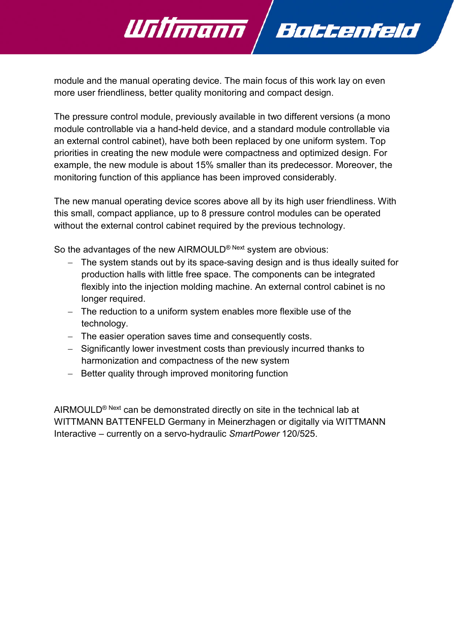module and the manual operating device. The main focus of this work lay on even more user friendliness, better quality monitoring and compact design.

Battenfeld

Willmann

The pressure control module, previously available in two different versions (a mono module controllable via a hand-held device, and a standard module controllable via an external control cabinet), have both been replaced by one uniform system. Top priorities in creating the new module were compactness and optimized design. For example, the new module is about 15% smaller than its predecessor. Moreover, the monitoring function of this appliance has been improved considerably.

The new manual operating device scores above all by its high user friendliness. With this small, compact appliance, up to 8 pressure control modules can be operated without the external control cabinet required by the previous technology.

So the advantages of the new AIRMOULD<sup>® Next</sup> system are obvious:

- − The system stands out by its space-saving design and is thus ideally suited for production halls with little free space. The components can be integrated flexibly into the injection molding machine. An external control cabinet is no longer required.
- − The reduction to a uniform system enables more flexible use of the technology.
- − The easier operation saves time and consequently costs.
- − Significantly lower investment costs than previously incurred thanks to harmonization and compactness of the new system
- − Better quality through improved monitoring function

AIRMOULD<sup>® Next</sup> can be demonstrated directly on site in the technical lab at WITTMANN BATTENFELD Germany in Meinerzhagen or digitally via WITTMANN Interactive – currently on a servo-hydraulic *SmartPower* 120/525.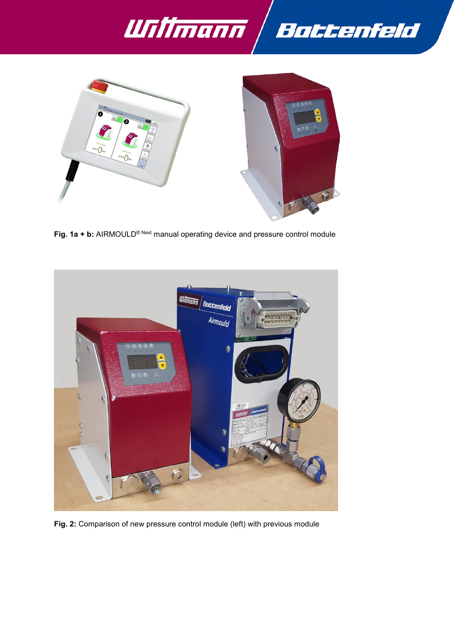



**Fig. 1a + b:** AIRMOULD® Next manual operating device and pressure control module



**Fig. 2:** Comparison of new pressure control module (left) with previous module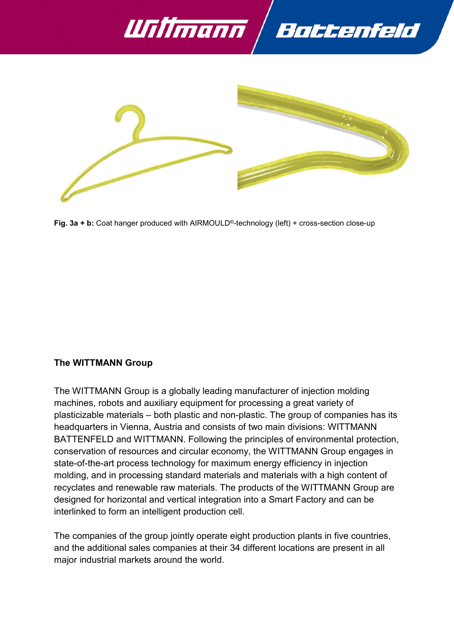



**Fig. 3a + b:** Coat hanger produced with AIRMOULD®-technology (left) + cross-section close-up

### **The WITTMANN Group**

The WITTMANN Group is a globally leading manufacturer of injection molding machines, robots and auxiliary equipment for processing a great variety of plasticizable materials – both plastic and non-plastic. The group of companies has its headquarters in Vienna, Austria and consists of two main divisions: WITTMANN BATTENFELD and WITTMANN. Following the principles of environmental protection, conservation of resources and circular economy, the WITTMANN Group engages in state-of-the-art process technology for maximum energy efficiency in injection molding, and in processing standard materials and materials with a high content of recyclates and renewable raw materials. The products of the WITTMANN Group are designed for horizontal and vertical integration into a Smart Factory and can be interlinked to form an intelligent production cell.

The companies of the group jointly operate eight production plants in five countries, and the additional sales companies at their 34 different locations are present in all major industrial markets around the world.